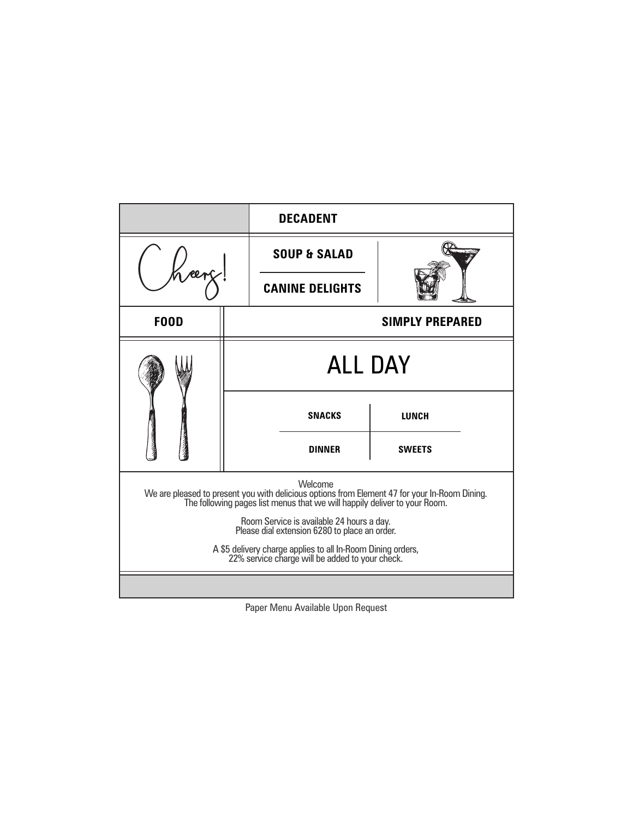|                                                                                                                                                                                       |                        | <b>DECADENT</b>         |               |  |
|---------------------------------------------------------------------------------------------------------------------------------------------------------------------------------------|------------------------|-------------------------|---------------|--|
|                                                                                                                                                                                       |                        | <b>SOUP &amp; SALAD</b> |               |  |
|                                                                                                                                                                                       |                        | <b>CANINE DELIGHTS</b>  |               |  |
| <b>F00D</b>                                                                                                                                                                           | <b>SIMPLY PREPARED</b> |                         |               |  |
|                                                                                                                                                                                       | <b>ALL DAY</b>         |                         |               |  |
|                                                                                                                                                                                       |                        | <b>SNACKS</b>           | <b>LUNCH</b>  |  |
|                                                                                                                                                                                       |                        | <b>DINNER</b>           | <b>SWEETS</b> |  |
| Welcome<br>We are pleased to present you with delicious options from Element 47 for your In-Room Dining.<br>The following pages list menus that we will happily deliver to your Room. |                        |                         |               |  |
| Room Service is available 24 hours a day.<br>Please dial extension 6280 to place an order.                                                                                            |                        |                         |               |  |
| A \$5 delivery charge applies to all In-Room Dining orders,<br>22% service charge will be added to your check.                                                                        |                        |                         |               |  |
|                                                                                                                                                                                       |                        |                         |               |  |

Paper Menu Available Upon Request